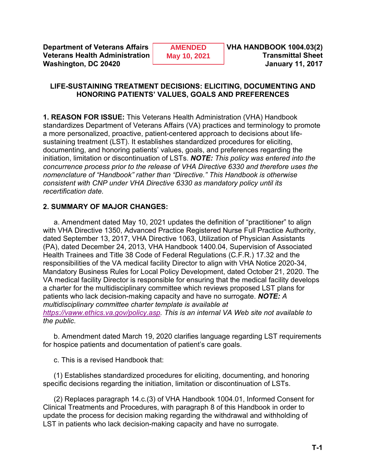**Department of Veterans Affairs AMENDED VHA HANDBOOK 1004.03(2) Veterans Health Administration May 10, 2021** Transmittal Sheet **Washington, DC 20420 January 11, 2017**

**AMENDED May 10, 2021**

### **LIFE-SUSTAINING TREATMENT DECISIONS: ELICITING, DOCUMENTING AND HONORING PATIENTS' VALUES, GOALS AND PREFERENCES**

**1. REASON FOR ISSUE:** This Veterans Health Administration (VHA) Handbook standardizes Department of Veterans Affairs (VA) practices and terminology to promote a more personalized, proactive, patient-centered approach to decisions about lifesustaining treatment (LST). It establishes standardized procedures for eliciting, documenting, and honoring patients' values, goals, and preferences regarding the initiation, limitation or discontinuation of LSTs. *NOTE: This policy was entered into the concurrence process prior to the release of VHA Directive 6330 and therefore uses the nomenclature of "Handbook" rather than "Directive." This Handbook is otherwise consistent with CNP under VHA Directive 6330 as mandatory policy until its recertification date.*

# **2. SUMMARY OF MAJOR CHANGES:**

a. Amendment dated May 10, 2021 updates the definition of "practitioner" to align with VHA Directive 1350, Advanced Practice Registered Nurse Full Practice Authority, dated September 13, 2017, VHA Directive 1063, Utilization of Physician Assistants (PA), dated December 24, 2013, VHA Handbook 1400.04, Supervision of Associated Health Trainees and Title 38 Code of Federal Regulations (C.F.R.) 17.32 and the responsibilities of the VA medical facility Director to align with VHA Notice 2020-34, Mandatory Business Rules for Local Policy Development, dated October 21, 2020. The VA medical facility Director is responsible for ensuring that the medical facility develops a charter for the multidisciplinary committee which reviews proposed LST plans for patients who lack decision-making capacity and have no surrogate. *NOTE: A multidisciplinary committee charter template is available at [https://vaww.ethics.va.gov/policy.asp.](https://vaww.ethics.va.gov/policy.asp) This is an internal VA Web site not available to the public*.

b. Amendment dated March 19, 2020 clarifies language regarding LST requirements for hospice patients and documentation of patient's care goals.

c. This is a revised Handbook that:

(1) Establishes standardized procedures for eliciting, documenting, and honoring specific decisions regarding the initiation, limitation or discontinuation of LSTs.

(2) Replaces paragraph 14.c.(3) of VHA Handbook 1004.01, Informed Consent for Clinical Treatments and Procedures, with paragraph 8 of this Handbook in order to update the process for decision making regarding the withdrawal and withholding of LST in patients who lack decision-making capacity and have no surrogate.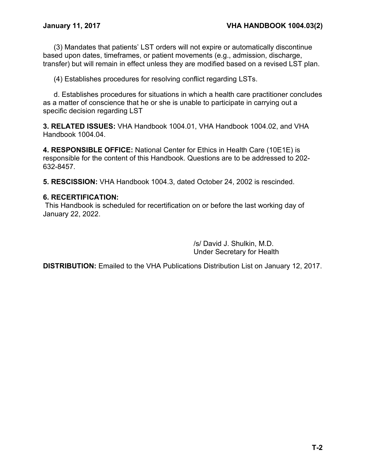(3) Mandates that patients' LST orders will not expire or automatically discontinue based upon dates, timeframes, or patient movements (e.g., admission, discharge, transfer) but will remain in effect unless they are modified based on a revised LST plan.

(4) Establishes procedures for resolving conflict regarding LSTs.

d. Establishes procedures for situations in which a health care practitioner concludes as a matter of conscience that he or she is unable to participate in carrying out a specific decision regarding LST

**3. RELATED ISSUES:** VHA Handbook 1004.01, VHA Handbook 1004.02, and VHA Handbook 1004.04.

**4. RESPONSIBLE OFFICE:** National Center for Ethics in Health Care (10E1E) is responsible for the content of this Handbook. Questions are to be addressed to 202- 632-8457.

**5. RESCISSION:** VHA Handbook 1004.3, dated October 24, 2002 is rescinded.

### **6. RECERTIFICATION:**

This Handbook is scheduled for recertification on or before the last working day of January 22, 2022.

> /s/ David J. Shulkin, M.D. Under Secretary for Health

**DISTRIBUTION:** Emailed to the VHA Publications Distribution List on January 12, 2017.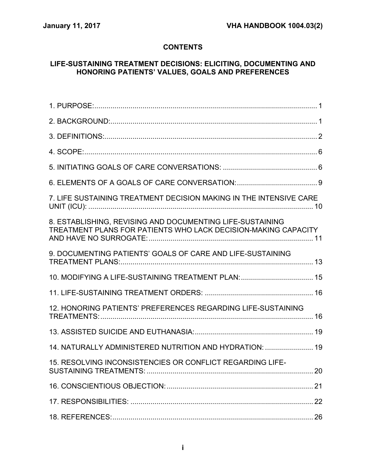# **CONTENTS**

# **LIFE-SUSTAINING TREATMENT DECISIONS: ELICITING, DOCUMENTING AND HONORING PATIENTS' VALUES, GOALS AND PREFERENCES**

| 7. LIFE SUSTAINING TREATMENT DECISION MAKING IN THE INTENSIVE CARE                                                          |  |
|-----------------------------------------------------------------------------------------------------------------------------|--|
| 8. ESTABLISHING, REVISING AND DOCUMENTING LIFE-SUSTAINING<br>TREATMENT PLANS FOR PATIENTS WHO LACK DECISION-MAKING CAPACITY |  |
| 9. DOCUMENTING PATIENTS' GOALS OF CARE AND LIFE-SUSTAINING                                                                  |  |
| 10. MODIFYING A LIFE-SUSTAINING TREATMENT PLAN:  15                                                                         |  |
|                                                                                                                             |  |
| 12. HONORING PATIENTS' PREFERENCES REGARDING LIFE-SUSTAINING                                                                |  |
|                                                                                                                             |  |
| 14. NATURALLY ADMINISTERED NUTRITION AND HYDRATION:  19                                                                     |  |
| 15. RESOLVING INCONSISTENCIES OR CONFLICT REGARDING LIFE-                                                                   |  |
|                                                                                                                             |  |
|                                                                                                                             |  |
|                                                                                                                             |  |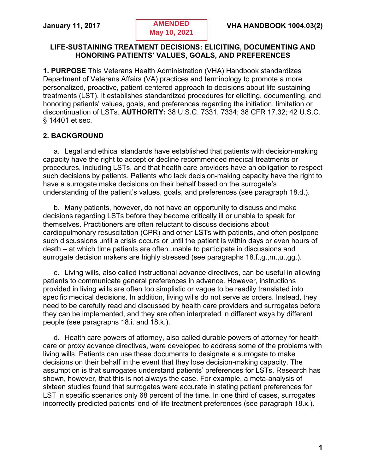### **LIFE-SUSTAINING TREATMENT DECISIONS: ELICITING, DOCUMENTING AND HONORING PATIENTS' VALUES, GOALS, AND PREFERENCES**

<span id="page-3-0"></span>**1. PURPOSE** This Veterans Health Administration (VHA) Handbook standardizes Department of Veterans Affairs (VA) practices and terminology to promote a more personalized, proactive, patient-centered approach to decisions about life-sustaining treatments (LST). It establishes standardized procedures for eliciting, documenting, and honoring patients' values, goals, and preferences regarding the initiation, limitation or discontinuation of LSTs. **AUTHORITY:** 38 U.S.C. 7331, 7334; 38 CFR 17.32; 42 U.S.C. § 14401 et sec.

# <span id="page-3-1"></span>**2. BACKGROUND**

a. Legal and ethical standards have established that patients with decision-making capacity have the right to accept or decline recommended medical treatments or procedures, including LSTs, and that health care providers have an obligation to respect such decisions by patients. Patients who lack decision-making capacity have the right to have a surrogate make decisions on their behalf based on the surrogate's understanding of the patient's values, goals, and preferences (see paragraph 18.d.).

b. Many patients, however, do not have an opportunity to discuss and make decisions regarding LSTs before they become critically ill or unable to speak for themselves. Practitioners are often reluctant to discuss decisions about cardiopulmonary resuscitation (CPR) and other LSTs with patients, and often postpone such discussions until a crisis occurs or until the patient is within days or even hours of death – at which time patients are often unable to participate in discussions and surrogate decision makers are highly stressed (see paragraphs 18.f.,g.,m.,u.,gg.).

c. Living wills, also called instructional advance directives, can be useful in allowing patients to communicate general preferences in advance. However, instructions provided in living wills are often too simplistic or vague to be readily translated into specific medical decisions. In addition, living wills do not serve as orders. Instead, they need to be carefully read and discussed by health care providers and surrogates before they can be implemented, and they are often interpreted in different ways by different people (see paragraphs 18.i. and 18.k.).

d. Health care powers of attorney, also called durable powers of attorney for health care or proxy advance directives, were developed to address some of the problems with living wills. Patients can use these documents to designate a surrogate to make decisions on their behalf in the event that they lose decision-making capacity. The assumption is that surrogates understand patients' preferences for LSTs. Research has shown, however, that this is not always the case. For example, a meta-analysis of sixteen studies found that surrogates were accurate in stating patient preferences for LST in specific scenarios only 68 percent of the time. In one third of cases, surrogates incorrectly predicted patients' end-of-life treatment preferences (see paragraph 18.x.).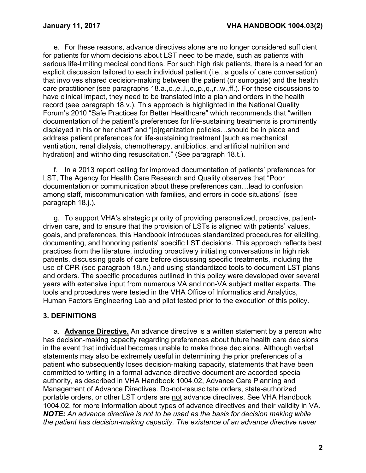e. For these reasons, advance directives alone are no longer considered sufficient for patients for whom decisions about LST need to be made, such as patients with serious life-limiting medical conditions. For such high risk patients, there is a need for an explicit discussion tailored to each individual patient (i.e., a goals of care conversation) that involves shared decision-making between the patient (or surrogate) and the health care practitioner (see paragraphs 18.a.,c.,e.,l.,o.,p.,q.,r.,w.,ff.). For these discussions to have clinical impact, they need to be translated into a plan and orders in the health record (see paragraph 18.v.). This approach is highlighted in the National Quality Forum's 2010 "Safe Practices for Better Healthcare" which recommends that "written documentation of the patient's preferences for life-sustaining treatments is prominently displayed in his or her chart" and "[o]rganization policies…should be in place and address patient preferences for life-sustaining treatment [such as mechanical ventilation, renal dialysis, chemotherapy, antibiotics, and artificial nutrition and hydration] and withholding resuscitation." (See paragraph 18.t.).

f. In a 2013 report calling for improved documentation of patients' preferences for LST, The Agency for Health Care Research and Quality observes that "Poor documentation or communication about these preferences can…lead to confusion among staff, miscommunication with families, and errors in code situations" (see paragraph 18.j.).

g. To support VHA's strategic priority of providing personalized, proactive, patientdriven care, and to ensure that the provision of LSTs is aligned with patients' values, goals, and preferences, this Handbook introduces standardized procedures for eliciting, documenting, and honoring patients' specific LST decisions. This approach reflects best practices from the literature, including proactively initiating conversations in high risk patients, discussing goals of care before discussing specific treatments, including the use of CPR (see paragraph 18.n.) and using standardized tools to document LST plans and orders. The specific procedures outlined in this policy were developed over several years with extensive input from numerous VA and non-VA subject matter experts. The tools and procedures were tested in the VHA Office of Informatics and Analytics, Human Factors Engineering Lab and pilot tested prior to the execution of this policy.

### <span id="page-4-0"></span>**3. DEFINITIONS**

a. **Advance Directive.** An advance directive is a written statement by a person who has decision-making capacity regarding preferences about future health care decisions in the event that individual becomes unable to make those decisions. Although verbal statements may also be extremely useful in determining the prior preferences of a patient who subsequently loses decision-making capacity, statements that have been committed to writing in a formal advance directive document are accorded special authority, as described in VHA Handbook 1004.02, Advance Care Planning and Management of Advance Directives. Do-not-resuscitate orders, state-authorized portable orders, or other LST orders are not advance directives. See VHA Handbook 1004.02, for more information about types of advance directives and their validity in VA. *NOTE: An advance directive is not to be used as the basis for decision making while the patient has decision-making capacity. The existence of an advance directive never*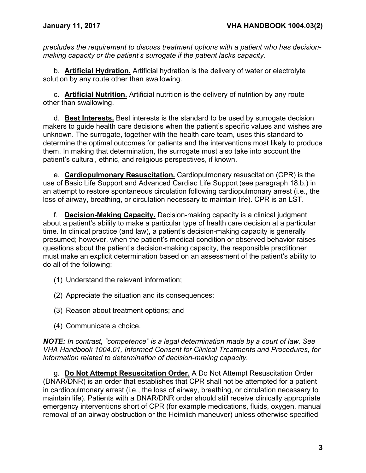*precludes the requirement to discuss treatment options with a patient who has decisionmaking capacity or the patient's surrogate if the patient lacks capacity.*

b. **Artificial Hydration.** Artificial hydration is the delivery of water or electrolyte solution by any route other than swallowing.

c. **Artificial Nutrition.** Artificial nutrition is the delivery of nutrition by any route other than swallowing.

d. **Best Interests.** Best interests is the standard to be used by surrogate decision makers to guide health care decisions when the patient's specific values and wishes are unknown. The surrogate, together with the health care team, uses this standard to determine the optimal outcomes for patients and the interventions most likely to produce them. In making that determination, the surrogate must also take into account the patient's cultural, ethnic, and religious perspectives, if known.

e. **Cardiopulmonary Resuscitation.** Cardiopulmonary resuscitation (CPR) is the use of Basic Life Support and Advanced Cardiac Life Support (see paragraph 18.b.) in an attempt to restore spontaneous circulation following cardiopulmonary arrest (i.e., the loss of airway, breathing, or circulation necessary to maintain life). CPR is an LST.

f. **Decision-Making Capacity.** Decision-making capacity is a clinical judgment about a patient's ability to make a particular type of health care decision at a particular time. In clinical practice (and law), a patient's decision-making capacity is generally presumed; however, when the patient's medical condition or observed behavior raises questions about the patient's decision-making capacity, the responsible practitioner must make an explicit determination based on an assessment of the patient's ability to do all of the following:

- (1) Understand the relevant information;
- (2) Appreciate the situation and its consequences;
- (3) Reason about treatment options; and
- (4) Communicate a choice.

*NOTE: In contrast, "competence" is a legal determination made by a court of law. See VHA Handbook 1004.01, Informed Consent for Clinical Treatments and Procedures, for information related to determination of decision-making capacity.*

g. **Do Not Attempt Resuscitation Order.** A Do Not Attempt Resuscitation Order (DNAR/DNR) is an order that establishes that CPR shall not be attempted for a patient in cardiopulmonary arrest (i.e., the loss of airway, breathing, or circulation necessary to maintain life). Patients with a DNAR/DNR order should still receive clinically appropriate emergency interventions short of CPR (for example medications, fluids, oxygen, manual removal of an airway obstruction or the Heimlich maneuver) unless otherwise specified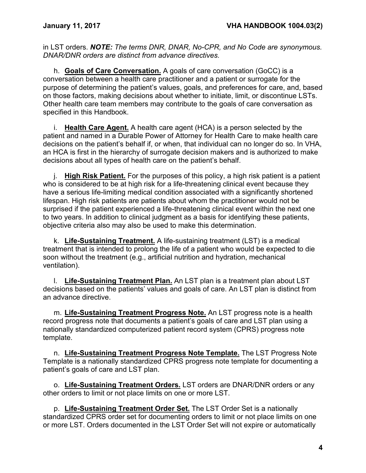in LST orders. *NOTE: The terms DNR, DNAR, No-CPR, and No Code are synonymous. DNAR/DNR orders are distinct from advance directives.*

h. **Goals of Care Conversation.** A goals of care conversation (GoCC) is a conversation between a health care practitioner and a patient or surrogate for the purpose of determining the patient's values, goals, and preferences for care, and, based on those factors, making decisions about whether to initiate, limit, or discontinue LSTs. Other health care team members may contribute to the goals of care conversation as specified in this Handbook.

i. **Health Care Agent.** A health care agent (HCA) is a person selected by the patient and named in a Durable Power of Attorney for Health Care to make health care decisions on the patient's behalf if, or when, that individual can no longer do so. In VHA, an HCA is first in the hierarchy of surrogate decision makers and is authorized to make decisions about all types of health care on the patient's behalf.

j. **High Risk Patient.** For the purposes of this policy, a high risk patient is a patient who is considered to be at high risk for a life-threatening clinical event because they have a serious life-limiting medical condition associated with a significantly shortened lifespan. High risk patients are patients about whom the practitioner would not be surprised if the patient experienced a life-threatening clinical event within the next one to two years. In addition to clinical judgment as a basis for identifying these patients, objective criteria also may also be used to make this determination.

k. **Life-Sustaining Treatment.** A life-sustaining treatment (LST) is a medical treatment that is intended to prolong the life of a patient who would be expected to die soon without the treatment (e.g., artificial nutrition and hydration, mechanical ventilation).

l. **Life-Sustaining Treatment Plan.** An LST plan is a treatment plan about LST decisions based on the patients' values and goals of care. An LST plan is distinct from an advance directive.

m. **Life-Sustaining Treatment Progress Note.** An LST progress note is a health record progress note that documents a patient's goals of care and LST plan using a nationally standardized computerized patient record system (CPRS) progress note template.

n. **Life-Sustaining Treatment Progress Note Template.** The LST Progress Note Template is a nationally standardized CPRS progress note template for documenting a patient's goals of care and LST plan.

o. **Life-Sustaining Treatment Orders.** LST orders are DNAR/DNR orders or any other orders to limit or not place limits on one or more LST.

p. **Life-Sustaining Treatment Order Set.** The LST Order Set is a nationally standardized CPRS order set for documenting orders to limit or not place limits on one or more LST. Orders documented in the LST Order Set will not expire or automatically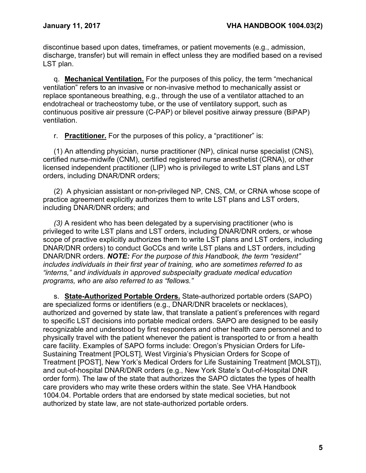discontinue based upon dates, timeframes, or patient movements (e.g., admission, discharge, transfer) but will remain in effect unless they are modified based on a revised LST plan.

q. **Mechanical Ventilation.** For the purposes of this policy, the term "mechanical ventilation" refers to an invasive or non-invasive method to mechanically assist or replace spontaneous breathing, e.g., through the use of a ventilator attached to an endotracheal or tracheostomy tube, or the use of ventilatory support, such as continuous positive air pressure (C-PAP) or bilevel positive airway pressure (BiPAP) ventilation.

r. **Practitioner.** For the purposes of this policy, a "practitioner" is:

(1) An attending physician, nurse practitioner (NP), clinical nurse specialist (CNS), certified nurse-midwife (CNM), certified registered nurse anesthetist (CRNA), or other licensed independent practitioner (LIP) who is privileged to write LST plans and LST orders, including DNAR/DNR orders;

(2) A physician assistant or non-privileged NP, CNS, CM, or CRNA whose scope of practice agreement explicitly authorizes them to write LST plans and LST orders, including DNAR/DNR orders; and

*(3)* A resident who has been delegated by a supervising practitioner (who is privileged to write LST plans and LST orders, including DNAR/DNR orders, or whose scope of practive explicitly authorizes them to write LST plans and LST orders, including DNAR/DNR orders) to conduct GoCCs and write LST plans and LST orders, including DNAR/DNR orders. *NOTE: For the purpose of this Handbook, the term "resident" includes individuals in their first year of training, who are sometimes referred to as "interns," and individuals in approved subspecialty graduate medical education programs, who are also referred to as "fellows."*

s. **State-Authorized Portable Orders.** State-authorized portable orders (SAPO) are specialized forms or identifiers (e.g., DNAR/DNR bracelets or necklaces), authorized and governed by state law, that translate a patient's preferences with regard to specific LST decisions into portable medical orders. SAPO are designed to be easily recognizable and understood by first responders and other health care personnel and to physically travel with the patient whenever the patient is transported to or from a health care facility. Examples of SAPO forms include: Oregon's Physician Orders for Life-Sustaining Treatment [POLST], West Virginia's Physician Orders for Scope of Treatment [POST], New York's Medical Orders for Life Sustaining Treatment [MOLST]), and out-of-hospital DNAR/DNR orders (e.g., New York State's Out-of-Hospital DNR order form). The law of the state that authorizes the SAPO dictates the types of health care providers who may write these orders within the state. See VHA Handbook 1004.04. Portable orders that are endorsed by state medical societies, but not authorized by state law, are not state-authorized portable orders.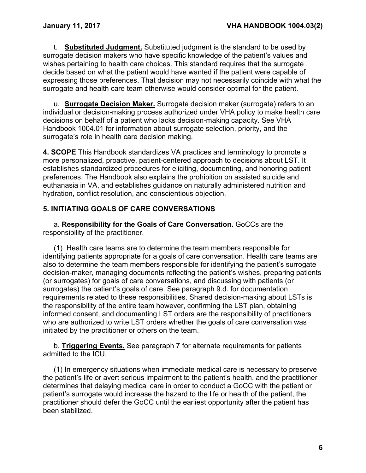t. **Substituted Judgment.** Substituted judgment is the standard to be used by surrogate decision makers who have specific knowledge of the patient's values and wishes pertaining to health care choices. This standard requires that the surrogate decide based on what the patient would have wanted if the patient were capable of expressing those preferences. That decision may not necessarily coincide with what the surrogate and health care team otherwise would consider optimal for the patient.

u. **Surrogate Decision Maker.** Surrogate decision maker (surrogate) refers to an individual or decision-making process authorized under VHA policy to make health care decisions on behalf of a patient who lacks decision-making capacity. See VHA Handbook 1004.01 for information about surrogate selection, priority, and the surrogate's role in health care decision making.

<span id="page-8-0"></span>**4. SCOPE** This Handbook standardizes VA practices and terminology to promote a more personalized, proactive, patient-centered approach to decisions about LST. It establishes standardized procedures for eliciting, documenting, and honoring patient preferences. The Handbook also explains the prohibition on assisted suicide and euthanasia in VA, and establishes guidance on naturally administered nutrition and hydration, conflict resolution, and conscientious objection.

# <span id="page-8-1"></span>**5. INITIATING GOALS OF CARE CONVERSATIONS**

a. **Responsibility for the Goals of Care Conversation.** GoCCs are the responsibility of the practitioner.

(1) Health care teams are to determine the team members responsible for identifying patients appropriate for a goals of care conversation. Health care teams are also to determine the team members responsible for identifying the patient's surrogate decision-maker, managing documents reflecting the patient's wishes, preparing patients (or surrogates) for goals of care conversations, and discussing with patients (or surrogates) the patient's goals of care. See paragraph 9.d. for documentation requirements related to these responsibilities. Shared decision-making about LSTs is the responsibility of the entire team however, confirming the LST plan, obtaining informed consent, and documenting LST orders are the responsibility of practitioners who are authorized to write LST orders whether the goals of care conversation was initiated by the practitioner or others on the team.

b. **Triggering Events.** See paragraph 7 for alternate requirements for patients admitted to the ICU.

(1) In emergency situations when immediate medical care is necessary to preserve the patient's life or avert serious impairment to the patient's health, and the practitioner determines that delaying medical care in order to conduct a GoCC with the patient or patient's surrogate would increase the hazard to the life or health of the patient, the practitioner should defer the GoCC until the earliest opportunity after the patient has been stabilized.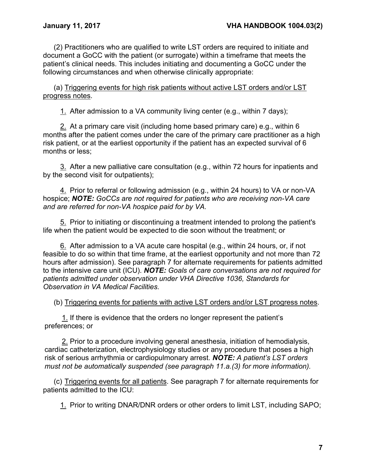(2) Practitioners who are qualified to write LST orders are required to initiate and document a GoCC with the patient (or surrogate) within a timeframe that meets the patient's clinical needs. This includes initiating and documenting a GoCC under the following circumstances and when otherwise clinically appropriate:

(a) Triggering events for high risk patients without active LST orders and/or LST progress notes.

1. After admission to a VA community living center (e.g., within 7 days);

2. At a primary care visit (including home based primary care) e.g., within 6 months after the patient comes under the care of the primary care practitioner as a high risk patient, or at the earliest opportunity if the patient has an expected survival of 6 months or less;

3. After a new palliative care consultation (e.g., within 72 hours for inpatients and by the second visit for outpatients);

4. Prior to referral or following admission (e.g., within 24 hours) to VA or non-VA hospice; *NOTE: GoCCs are not required for patients who are receiving non-VA care and are referred for non-VA hospice paid for by VA.* 

5. Prior to initiating or discontinuing a treatment intended to prolong the patient's life when the patient would be expected to die soon without the treatment; or

6. After admission to a VA acute care hospital (e.g., within 24 hours, or, if not feasible to do so within that time frame, at the earliest opportunity and not more than 72 hours after admission). See paragraph 7 for alternate requirements for patients admitted to the intensive care unit (ICU). *NOTE: Goals of care conversations are not required for patients admitted under observation under VHA Directive 1036, Standards for Observation in VA Medical Facilities.*

(b) Triggering events for patients with active LST orders and/or LST progress notes.

1. If there is evidence that the orders no longer represent the patient's preferences; or

2. Prior to a procedure involving general anesthesia, initiation of hemodialysis, cardiac catheterization, electrophysiology studies or any procedure that poses a high risk of serious arrhythmia or cardiopulmonary arrest. *NOTE: A patient's LST orders must not be automatically suspended (see paragraph 11.a.(3) for more information).*

(c) Triggering events for all patients. See paragraph 7 for alternate requirements for patients admitted to the ICU:

1. Prior to writing DNAR/DNR orders or other orders to limit LST, including SAPO;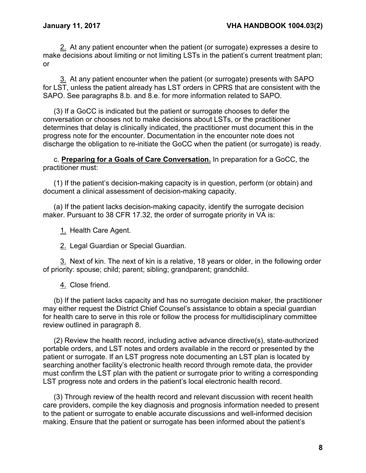2. At any patient encounter when the patient (or surrogate) expresses a desire to make decisions about limiting or not limiting LSTs in the patient's current treatment plan; or

3. At any patient encounter when the patient (or surrogate) presents with SAPO for LST, unless the patient already has LST orders in CPRS that are consistent with the SAPO. See paragraphs 8.b. and 8.e. for more information related to SAPO.

(3) If a GoCC is indicated but the patient or surrogate chooses to defer the conversation or chooses not to make decisions about LSTs, or the practitioner determines that delay is clinically indicated, the practitioner must document this in the progress note for the encounter. Documentation in the encounter note does not discharge the obligation to re-initiate the GoCC when the patient (or surrogate) is ready.

c. **Preparing for a Goals of Care Conversation.** In preparation for a GoCC, the practitioner must:

(1) If the patient's decision-making capacity is in question, perform (or obtain) and document a clinical assessment of decision-making capacity.

(a) If the patient lacks decision-making capacity, identify the surrogate decision maker. Pursuant to 38 CFR 17.32, the order of surrogate priority in VA is:

1. Health Care Agent.

2. Legal Guardian or Special Guardian.

3. Next of kin. The next of kin is a relative, 18 years or older, in the following order of priority: spouse; child; parent; sibling; grandparent; grandchild.

4. Close friend.

(b) If the patient lacks capacity and has no surrogate decision maker, the practitioner may either request the District Chief Counsel's assistance to obtain a special guardian for health care to serve in this role or follow the process for multidisciplinary committee review outlined in paragraph 8.

(2) Review the health record, including active advance directive(s), state-authorized portable orders, and LST notes and orders available in the record or presented by the patient or surrogate. If an LST progress note documenting an LST plan is located by searching another facility's electronic health record through remote data, the provider must confirm the LST plan with the patient or surrogate prior to writing a corresponding LST progress note and orders in the patient's local electronic health record.

(3) Through review of the health record and relevant discussion with recent health care providers, compile the key diagnosis and prognosis information needed to present to the patient or surrogate to enable accurate discussions and well-informed decision making. Ensure that the patient or surrogate has been informed about the patient's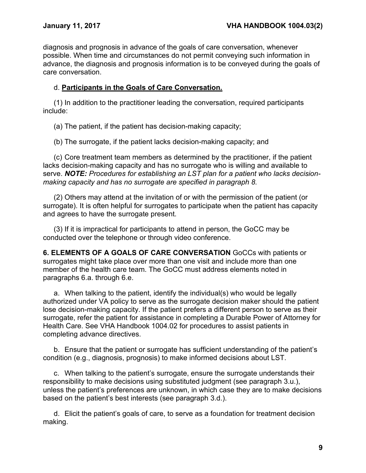diagnosis and prognosis in advance of the goals of care conversation, whenever possible. When time and circumstances do not permit conveying such information in advance, the diagnosis and prognosis information is to be conveyed during the goals of care conversation.

## d. **Participants in the Goals of Care Conversation.**

(1) In addition to the practitioner leading the conversation, required participants include:

(a) The patient, if the patient has decision-making capacity;

(b) The surrogate, if the patient lacks decision-making capacity; and

(c) Core treatment team members as determined by the practitioner, if the patient lacks decision-making capacity and has no surrogate who is willing and available to serve. *NOTE: Procedures for establishing an LST plan for a patient who lacks decisionmaking capacity and has no surrogate are specified in paragraph 8.*

(2) Others may attend at the invitation of or with the permission of the patient (or surrogate). It is often helpful for surrogates to participate when the patient has capacity and agrees to have the surrogate present.

(3) If it is impractical for participants to attend in person, the GoCC may be conducted over the telephone or through video conference.

<span id="page-11-0"></span>**6. ELEMENTS OF A GOALS OF CARE CONVERSATION** GoCCs with patients or surrogates might take place over more than one visit and include more than one member of the health care team. The GoCC must address elements noted in paragraphs 6.a. through 6.e.

a. When talking to the patient, identify the individual(s) who would be legally authorized under VA policy to serve as the surrogate decision maker should the patient lose decision-making capacity. If the patient prefers a different person to serve as their surrogate, refer the patient for assistance in completing a Durable Power of Attorney for Health Care. See VHA Handbook 1004.02 for procedures to assist patients in completing advance directives.

b. Ensure that the patient or surrogate has sufficient understanding of the patient's condition (e.g., diagnosis, prognosis) to make informed decisions about LST.

c. When talking to the patient's surrogate, ensure the surrogate understands their responsibility to make decisions using substituted judgment (see paragraph 3.u.), unless the patient's preferences are unknown, in which case they are to make decisions based on the patient's best interests (see paragraph 3.d.).

d. Elicit the patient's goals of care, to serve as a foundation for treatment decision making.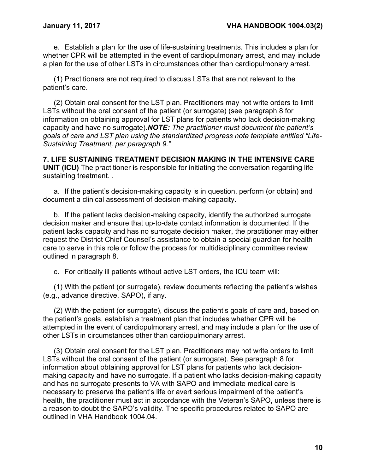e. Establish a plan for the use of life-sustaining treatments. This includes a plan for whether CPR will be attempted in the event of cardiopulmonary arrest, and may include a plan for the use of other LSTs in circumstances other than cardiopulmonary arrest.

(1) Practitioners are not required to discuss LSTs that are not relevant to the patient's care.

(2) Obtain oral consent for the LST plan. Practitioners may not write orders to limit LSTs without the oral consent of the patient (or surrogate) (see paragraph 8 for information on obtaining approval for LST plans for patients who lack decision-making capacity and have no surrogate).*NOTE: The practitioner must document the patient's goals of care and LST plan using the standardized progress note template entitled "Life-Sustaining Treatment, per paragraph 9."*

<span id="page-12-0"></span>**7. LIFE SUSTAINING TREATMENT DECISION MAKING IN THE INTENSIVE CARE UNIT (ICU)** The practitioner is responsible for initiating the conversation regarding life sustaining treatment. .

a. If the patient's decision-making capacity is in question, perform (or obtain) and document a clinical assessment of decision-making capacity.

b. If the patient lacks decision-making capacity, identify the authorized surrogate decision maker and ensure that up-to-date contact information is documented. If the patient lacks capacity and has no surrogate decision maker, the practitioner may either request the District Chief Counsel's assistance to obtain a special guardian for health care to serve in this role or follow the process for multidisciplinary committee review outlined in paragraph 8.

c. For critically ill patients without active LST orders, the ICU team will:

(1) With the patient (or surrogate), review documents reflecting the patient's wishes (e.g., advance directive, SAPO), if any.

(2) With the patient (or surrogate), discuss the patient's goals of care and, based on the patient's goals, establish a treatment plan that includes whether CPR will be attempted in the event of cardiopulmonary arrest, and may include a plan for the use of other LSTs in circumstances other than cardiopulmonary arrest.

(3) Obtain oral consent for the LST plan. Practitioners may not write orders to limit LSTs without the oral consent of the patient (or surrogate). See paragraph 8 for information about obtaining approval for LST plans for patients who lack decisionmaking capacity and have no surrogate. If a patient who lacks decision-making capacity and has no surrogate presents to VA with SAPO and immediate medical care is necessary to preserve the patient's life or avert serious impairment of the patient's health, the practitioner must act in accordance with the Veteran's SAPO, unless there is a reason to doubt the SAPO's validity. The specific procedures related to SAPO are outlined in VHA Handbook 1004.04.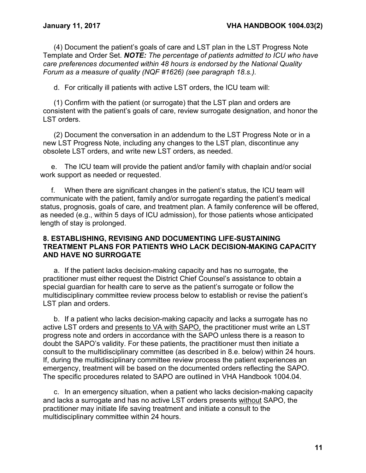(4) Document the patient's goals of care and LST plan in the LST Progress Note Template and Order Set. *NOTE: The percentage of patients admitted to ICU who have care preferences documented within 48 hours is endorsed by the National Quality Forum as a measure of quality (NQF #1626) (see paragraph 18.s.).*

d. For critically ill patients with active LST orders, the ICU team will:

(1) Confirm with the patient (or surrogate) that the LST plan and orders are consistent with the patient's goals of care, review surrogate designation, and honor the LST orders.

(2) Document the conversation in an addendum to the LST Progress Note or in a new LST Progress Note, including any changes to the LST plan, discontinue any obsolete LST orders, and write new LST orders, as needed.

e. The ICU team will provide the patient and/or family with chaplain and/or social work support as needed or requested.

f. When there are significant changes in the patient's status, the ICU team will communicate with the patient, family and/or surrogate regarding the patient's medical status, prognosis, goals of care, and treatment plan. A family conference will be offered, as needed (e.g., within 5 days of ICU admission), for those patients whose anticipated length of stay is prolonged.

### <span id="page-13-0"></span>**8. ESTABLISHING, REVISING AND DOCUMENTING LIFE-SUSTAINING TREATMENT PLANS FOR PATIENTS WHO LACK DECISION-MAKING CAPACITY AND HAVE NO SURROGATE**

a. If the patient lacks decision-making capacity and has no surrogate, the practitioner must either request the District Chief Counsel's assistance to obtain a special guardian for health care to serve as the patient's surrogate or follow the multidisciplinary committee review process below to establish or revise the patient's LST plan and orders.

b. If a patient who lacks decision-making capacity and lacks a surrogate has no active LST orders and presents to VA with SAPO, the practitioner must write an LST progress note and orders in accordance with the SAPO unless there is a reason to doubt the SAPO's validity. For these patients, the practitioner must then initiate a consult to the multidisciplinary committee (as described in 8.e. below) within 24 hours. If, during the multidisciplinary committee review process the patient experiences an emergency, treatment will be based on the documented orders reflecting the SAPO. The specific procedures related to SAPO are outlined in VHA Handbook 1004.04.

c. In an emergency situation, when a patient who lacks decision-making capacity and lacks a surrogate and has no active LST orders presents without SAPO, the practitioner may initiate life saving treatment and initiate a consult to the multidisciplinary committee within 24 hours.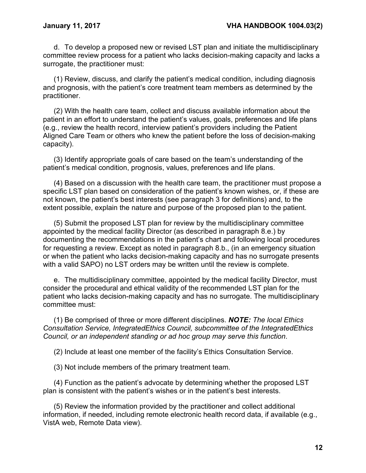d. To develop a proposed new or revised LST plan and initiate the multidisciplinary committee review process for a patient who lacks decision-making capacity and lacks a surrogate, the practitioner must:

(1) Review, discuss, and clarify the patient's medical condition, including diagnosis and prognosis, with the patient's core treatment team members as determined by the practitioner.

(2) With the health care team, collect and discuss available information about the patient in an effort to understand the patient's values, goals, preferences and life plans (e.g., review the health record, interview patient's providers including the Patient Aligned Care Team or others who knew the patient before the loss of decision-making capacity).

(3) Identify appropriate goals of care based on the team's understanding of the patient's medical condition, prognosis, values, preferences and life plans.

(4) Based on a discussion with the health care team, the practitioner must propose a specific LST plan based on consideration of the patient's known wishes, or, if these are not known, the patient's best interests (see paragraph 3 for definitions) and, to the extent possible, explain the nature and purpose of the proposed plan to the patient.

(5) Submit the proposed LST plan for review by the multidisciplinary committee appointed by the medical facility Director (as described in paragraph 8.e.) by documenting the recommendations in the patient's chart and following local procedures for requesting a review. Except as noted in paragraph 8.b., (in an emergency situation or when the patient who lacks decision-making capacity and has no surrogate presents with a valid SAPO) no LST orders may be written until the review is complete.

e. The multidisciplinary committee, appointed by the medical facility Director, must consider the procedural and ethical validity of the recommended LST plan for the patient who lacks decision-making capacity and has no surrogate. The multidisciplinary committee must:

(1) Be comprised of three or more different disciplines. *NOTE: The local Ethics Consultation Service, IntegratedEthics Council, subcommittee of the IntegratedEthics Council, or an independent standing or ad hoc group may serve this function*.

(2) Include at least one member of the facility's Ethics Consultation Service.

(3) Not include members of the primary treatment team.

(4) Function as the patient's advocate by determining whether the proposed LST plan is consistent with the patient's wishes or in the patient's best interests.

(5) Review the information provided by the practitioner and collect additional information, if needed, including remote electronic health record data, if available (e.g., VistA web, Remote Data view).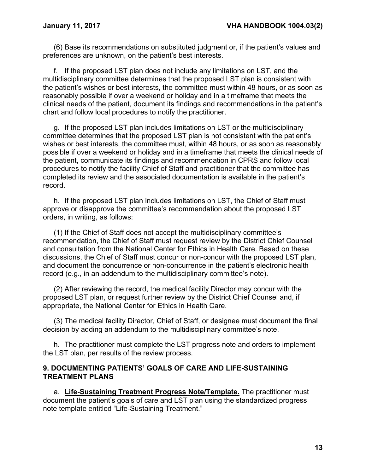(6) Base its recommendations on substituted judgment or, if the patient's values and preferences are unknown, on the patient's best interests.

f. If the proposed LST plan does not include any limitations on LST, and the multidisciplinary committee determines that the proposed LST plan is consistent with the patient's wishes or best interests, the committee must within 48 hours, or as soon as reasonably possible if over a weekend or holiday and in a timeframe that meets the clinical needs of the patient, document its findings and recommendations in the patient's chart and follow local procedures to notify the practitioner.

g. If the proposed LST plan includes limitations on LST or the multidisciplinary committee determines that the proposed LST plan is not consistent with the patient's wishes or best interests, the committee must, within 48 hours, or as soon as reasonably possible if over a weekend or holiday and in a timeframe that meets the clinical needs of the patient, communicate its findings and recommendation in CPRS and follow local procedures to notify the facility Chief of Staff and practitioner that the committee has completed its review and the associated documentation is available in the patient's record.

h. If the proposed LST plan includes limitations on LST, the Chief of Staff must approve or disapprove the committee's recommendation about the proposed LST orders, in writing, as follows:

(1) If the Chief of Staff does not accept the multidisciplinary committee's recommendation, the Chief of Staff must request review by the District Chief Counsel and consultation from the National Center for Ethics in Health Care. Based on these discussions, the Chief of Staff must concur or non-concur with the proposed LST plan, and document the concurrence or non-concurrence in the patient's electronic health record (e.g., in an addendum to the multidisciplinary committee's note).

(2) After reviewing the record, the medical facility Director may concur with the proposed LST plan, or request further review by the District Chief Counsel and, if appropriate, the National Center for Ethics in Health Care.

(3) The medical facility Director, Chief of Staff, or designee must document the final decision by adding an addendum to the multidisciplinary committee's note.

h. The practitioner must complete the LST progress note and orders to implement the LST plan, per results of the review process.

### <span id="page-15-0"></span>**9. DOCUMENTING PATIENTS' GOALS OF CARE AND LIFE-SUSTAINING TREATMENT PLANS**

a. **Life-Sustaining Treatment Progress Note/Template.** The practitioner must document the patient's goals of care and LST plan using the standardized progress note template entitled "Life-Sustaining Treatment."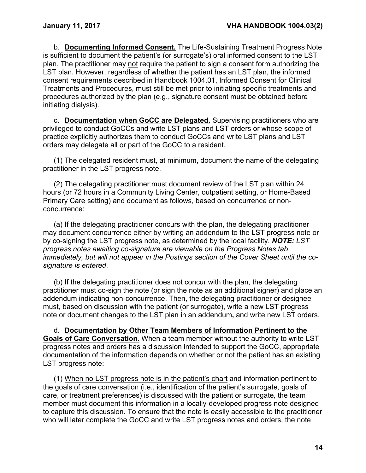b. **Documenting Informed Consent.** The Life-Sustaining Treatment Progress Note is sufficient to document the patient's (or surrogate's) oral informed consent to the LST plan. The practitioner may not require the patient to sign a consent form authorizing the LST plan. However, regardless of whether the patient has an LST plan, the informed consent requirements described in Handbook 1004.01, Informed Consent for Clinical Treatments and Procedures, must still be met prior to initiating specific treatments and procedures authorized by the plan (e.g., signature consent must be obtained before initiating dialysis).

c. **Documentation when GoCC are Delegated.** Supervising practitioners who are privileged to conduct GoCCs and write LST plans and LST orders or whose scope of practice explicitly authorizes them to conduct GoCCs and write LST plans and LST orders may delegate all or part of the GoCC to a resident.

(1) The delegated resident must, at minimum, document the name of the delegating practitioner in the LST progress note.

(2) The delegating practitioner must document review of the LST plan within 24 hours (or 72 hours in a Community Living Center, outpatient setting, or Home-Based Primary Care setting) and document as follows, based on concurrence or nonconcurrence:

(a) If the delegating practitioner concurs with the plan, the delegating practitioner may document concurrence either by writing an addendum to the LST progress note or by co-signing the LST progress note, as determined by the local facility. *NOTE: LST progress notes awaiting co-signature are viewable on the Progress Notes tab immediately, but will not appear in the Postings section of the Cover Sheet until the cosignature is entered*.

(b) If the delegating practitioner does not concur with the plan, the delegating practitioner must co-sign the note (or sign the note as an additional signer) and place an addendum indicating non-concurrence. Then, the delegating practitioner or designee must, based on discussion with the patient (or surrogate), write a new LST progress note or document changes to the LST plan in an addendum**,** and write new LST orders.

d. **Documentation by Other Team Members of Information Pertinent to the Goals of Care Conversation.** When a team member without the authority to write LST progress notes and orders has a discussion intended to support the GoCC, appropriate documentation of the information depends on whether or not the patient has an existing LST progress note:

(1) When no LST progress note is in the patient's chart and information pertinent to the goals of care conversation (i.e., identification of the patient's surrogate, goals of care, or treatment preferences) is discussed with the patient or surrogate*,* the team member must document this information in a locally-developed progress note designed to capture this discussion. To ensure that the note is easily accessible to the practitioner who will later complete the GoCC and write LST progress notes and orders, the note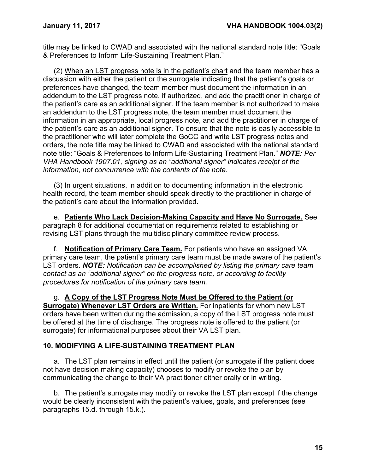title may be linked to CWAD and associated with the national standard note title: "Goals & Preferences to Inform Life-Sustaining Treatment Plan."

(2) When an LST progress note is in the patient's chart and the team member has a discussion with either the patient or the surrogate indicating that the patient's goals or preferences have changed, the team member must document the information in an addendum to the LST progress note, if authorized, and add the practitioner in charge of the patient's care as an additional signer. If the team member is not authorized to make an addendum to the LST progress note, the team member must document the information in an appropriate, local progress note, and add the practitioner in charge of the patient's care as an additional signer. To ensure that the note is easily accessible to the practitioner who will later complete the GoCC and write LST progress notes and orders, the note title may be linked to CWAD and associated with the national standard note title: "Goals & Preferences to Inform Life-Sustaining Treatment Plan." *NOTE: Per VHA Handbook 1907.01, signing as an "additional signer" indicates receipt of the information, not concurrence with the contents of the note.*

(3) In urgent situations, in addition to documenting information in the electronic health record, the team member should speak directly to the practitioner in charge of the patient's care about the information provided.

e. **Patients Who Lack Decision-Making Capacity and Have No Surrogate.** See paragraph 8 for additional documentation requirements related to establishing or revising LST plans through the multidisciplinary committee review process.

f. **Notification of Primary Care Team.** For patients who have an assigned VA primary care team, the patient's primary care team must be made aware of the patient's LST orders. *NOTE: Notification can be accomplished by listing the primary care team contact as an "additional signer" on the progress note, or according to facility procedures for notification of the primary care team.*

g. **A Copy of the LST Progress Note Must be Offered to the Patient (or Surrogate) Whenever LST Orders are Written.** For inpatients for whom new LST orders have been written during the admission, a copy of the LST progress note must be offered at the time of discharge. The progress note is offered to the patient (or surrogate) for informational purposes about their VA LST plan.

### <span id="page-17-0"></span>**10. MODIFYING A LIFE-SUSTAINING TREATMENT PLAN**

a. The LST plan remains in effect until the patient (or surrogate if the patient does not have decision making capacity) chooses to modify or revoke the plan by communicating the change to their VA practitioner either orally or in writing.

b. The patient's surrogate may modify or revoke the LST plan except if the change would be clearly inconsistent with the patient's values, goals, and preferences (see paragraphs 15.d. through 15.k.).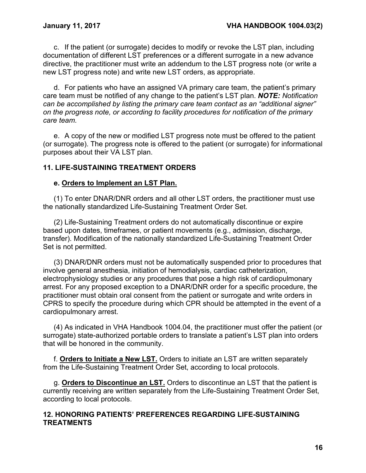c. If the patient (or surrogate) decides to modify or revoke the LST plan, including documentation of different LST preferences or a different surrogate in a new advance directive, the practitioner must write an addendum to the LST progress note (or write a new LST progress note) and write new LST orders, as appropriate.

d. For patients who have an assigned VA primary care team, the patient's primary care team must be notified of any change to the patient's LST plan. *NOTE: Notification can be accomplished by listing the primary care team contact as an "additional signer" on the progress note, or according to facility procedures for notification of the primary care team.*

e. A copy of the new or modified LST progress note must be offered to the patient (or surrogate). The progress note is offered to the patient (or surrogate) for informational purposes about their VA LST plan.

### <span id="page-18-0"></span>**11. LIFE-SUSTAINING TREATMENT ORDERS**

### **e. Orders to Implement an LST Plan.**

(1) To enter DNAR/DNR orders and all other LST orders, the practitioner must use the nationally standardized Life-Sustaining Treatment Order Set.

(2) Life-Sustaining Treatment orders do not automatically discontinue or expire based upon dates, timeframes, or patient movements (e.g., admission, discharge, transfer). Modification of the nationally standardized Life-Sustaining Treatment Order Set is not permitted.

(3) DNAR/DNR orders must not be automatically suspended prior to procedures that involve general anesthesia, initiation of hemodialysis, cardiac catheterization, electrophysiology studies or any procedures that pose a high risk of cardiopulmonary arrest. For any proposed exception to a DNAR/DNR order for a specific procedure, the practitioner must obtain oral consent from the patient or surrogate and write orders in CPRS to specify the procedure during which CPR should be attempted in the event of a cardiopulmonary arrest.

(4) As indicated in VHA Handbook 1004.04, the practitioner must offer the patient (or surrogate) state-authorized portable orders to translate a patient's LST plan into orders that will be honored in the community.

f. **Orders to Initiate a New LST.** Orders to initiate an LST are written separately from the Life-Sustaining Treatment Order Set, according to local protocols.

g. **Orders to Discontinue an LST.** Orders to discontinue an LST that the patient is currently receiving are written separately from the Life-Sustaining Treatment Order Set, according to local protocols.

### <span id="page-18-1"></span>**12. HONORING PATIENTS' PREFERENCES REGARDING LIFE-SUSTAINING TREATMENTS**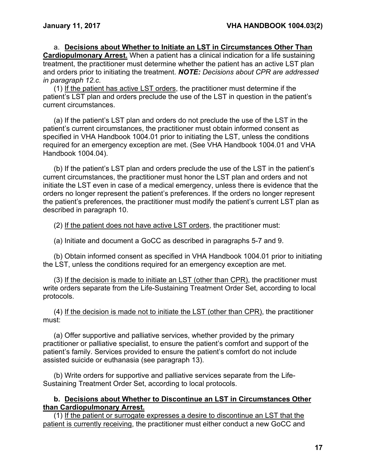a. **Decisions about Whether to Initiate an LST in Circumstances Other Than Cardiopulmonary Arrest.** When a patient has a clinical indication for a life sustaining treatment, the practitioner must determine whether the patient has an active LST plan and orders prior to initiating the treatment. *NOTE: Decisions about CPR are addressed in paragraph 12.c*.

(1) If the patient has active LST orders, the practitioner must determine if the patient's LST plan and orders preclude the use of the LST in question in the patient's current circumstances.

(a) If the patient's LST plan and orders do not preclude the use of the LST in the patient's current circumstances, the practitioner must obtain informed consent as specified in VHA Handbook 1004.01 prior to initiating the LST, unless the conditions required for an emergency exception are met. (See VHA Handbook 1004.01 and VHA Handbook 1004.04).

(b) If the patient's LST plan and orders preclude the use of the LST in the patient's current circumstances, the practitioner must honor the LST plan and orders and not initiate the LST even in case of a medical emergency, unless there is evidence that the orders no longer represent the patient's preferences. If the orders no longer represent the patient's preferences, the practitioner must modify the patient's current LST plan as described in paragraph 10.

(2) If the patient does not have active LST orders, the practitioner must:

(a) Initiate and document a GoCC as described in paragraphs 5-7 and 9.

(b) Obtain informed consent as specified in VHA Handbook 1004.01 prior to initiating the LST, unless the conditions required for an emergency exception are met.

(3) If the decision is made to initiate an LST (other than CPR), the practitioner must write orders separate from the Life-Sustaining Treatment Order Set, according to local protocols.

(4) If the decision is made not to initiate the LST (other than CPR), the practitioner must:

(a) Offer supportive and palliative services, whether provided by the primary practitioner or palliative specialist, to ensure the patient's comfort and support of the patient's family. Services provided to ensure the patient's comfort do not include assisted suicide or euthanasia (see paragraph 13).

(b) Write orders for supportive and palliative services separate from the Life-Sustaining Treatment Order Set, according to local protocols.

#### **b. Decisions about Whether to Discontinue an LST in Circumstances Other than Cardiopulmonary Arrest.**

(1) If the patient or surrogate expresses a desire to discontinue an LST that the patient is currently receiving, the practitioner must either conduct a new GoCC and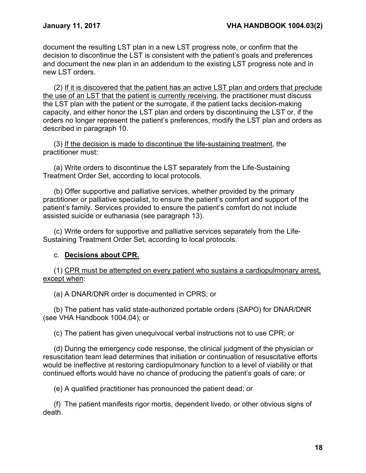document the resulting LST plan in a new LST progress note, or confirm that the decision to discontinue the LST is consistent with the patient's goals and preferences and document the new plan in an addendum to the existing LST progress note and in new LST orders.

(2) If it is discovered that the patient has an active LST plan and orders that preclude the use of an LST that the patient is currently receiving, the practitioner must discuss the LST plan with the patient or the surrogate, if the patient lacks decision-making capacity, and either honor the LST plan and orders by discontinuing the LST or, if the orders no longer represent the patient's preferences, modify the LST plan and orders as described in paragraph 10.

(3) If the decision is made to discontinue the life-sustaining treatment, the practitioner must:

(a) Write orders to discontinue the LST separately from the Life-Sustaining Treatment Order Set, according to local protocols.

(b) Offer supportive and palliative services, whether provided by the primary practitioner or palliative specialist, to ensure the patient's comfort and support of the patient's family. Services provided to ensure the patient's comfort do not include assisted suicide or euthanasia (see paragraph 13).

(c) Write orders for supportive and palliative services separately from the Life-Sustaining Treatment Order Set, according to local protocols.

### c. **Decisions about CPR.**

(1) CPR must be attempted on every patient who sustains a cardiopulmonary arrest, except when:

(a) A DNAR/DNR order is documented in CPRS; or

(b) The patient has valid state-authorized portable orders (SAPO) for DNAR/DNR (see VHA Handbook 1004.04); or

(c) The patient has given unequivocal verbal instructions not to use CPR; or

(d) During the emergency code response, the clinical judgment of the physician or resuscitation team lead determines that initiation or continuation of resuscitative efforts would be ineffective at restoring cardiopulmonary function to a level of viability or that continued efforts would have no chance of producing the patient's goals of care; or

(e) A qualified practitioner has pronounced the patient dead; or

(f) The patient manifests rigor mortis, dependent livedo, or other obvious signs of death.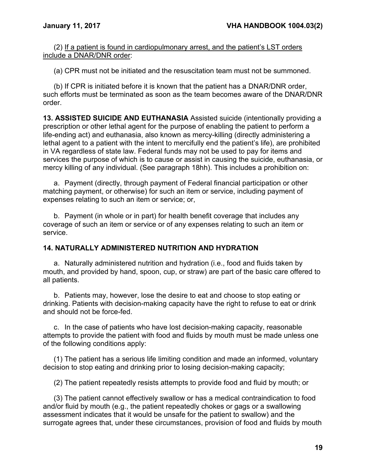(2) If a patient is found in cardiopulmonary arrest, and the patient's LST orders include a DNAR/DNR order:

(a) CPR must not be initiated and the resuscitation team must not be summoned.

(b) If CPR is initiated before it is known that the patient has a DNAR/DNR order, such efforts must be terminated as soon as the team becomes aware of the DNAR/DNR order.

<span id="page-21-0"></span>**13. ASSISTED SUICIDE AND EUTHANASIA** Assisted suicide (intentionally providing a prescription or other lethal agent for the purpose of enabling the patient to perform a life-ending act) and euthanasia, also known as mercy-killing (directly administering a lethal agent to a patient with the intent to mercifully end the patient's life), are prohibited in VA regardless of state law. Federal funds may not be used to pay for items and services the purpose of which is to cause or assist in causing the suicide, euthanasia, or mercy killing of any individual. (See paragraph 18hh). This includes a prohibition on:

a. Payment (directly, through payment of Federal financial participation or other matching payment, or otherwise) for such an item or service, including payment of expenses relating to such an item or service; or,

b. Payment (in whole or in part) for health benefit coverage that includes any coverage of such an item or service or of any expenses relating to such an item or service.

# <span id="page-21-1"></span>**14. NATURALLY ADMINISTERED NUTRITION AND HYDRATION**

a. Naturally administered nutrition and hydration (i.e., food and fluids taken by mouth, and provided by hand, spoon, cup, or straw) are part of the basic care offered to all patients.

b. Patients may, however, lose the desire to eat and choose to stop eating or drinking. Patients with decision-making capacity have the right to refuse to eat or drink and should not be force-fed.

c. In the case of patients who have lost decision-making capacity, reasonable attempts to provide the patient with food and fluids by mouth must be made unless one of the following conditions apply:

(1) The patient has a serious life limiting condition and made an informed, voluntary decision to stop eating and drinking prior to losing decision-making capacity;

(2) The patient repeatedly resists attempts to provide food and fluid by mouth; or

(3) The patient cannot effectively swallow or has a medical contraindication to food and/or fluid by mouth (e.g., the patient repeatedly chokes or gags or a swallowing assessment indicates that it would be unsafe for the patient to swallow) and the surrogate agrees that, under these circumstances, provision of food and fluids by mouth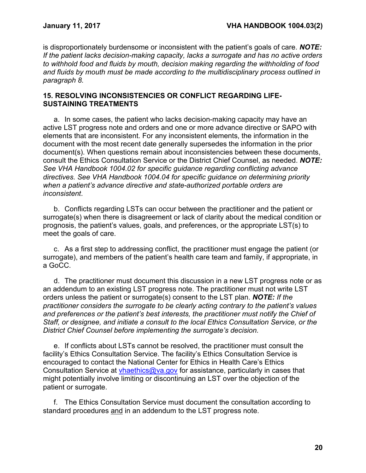is disproportionately burdensome or inconsistent with the patient's goals of care. *NOTE: If the patient lacks decision-making capacity, lacks a surrogate and has no active orders to withhold food and fluids by mouth, decision making regarding the withholding of food and fluids by mouth must be made according to the multidisciplinary process outlined in paragraph 8.*

### <span id="page-22-0"></span>**15. RESOLVING INCONSISTENCIES OR CONFLICT REGARDING LIFE-SUSTAINING TREATMENTS**

a. In some cases, the patient who lacks decision-making capacity may have an active LST progress note and orders and one or more advance directive or SAPO with elements that are inconsistent. For any inconsistent elements, the information in the document with the most recent date generally supersedes the information in the prior document(s). When questions remain about inconsistencies between these documents, consult the Ethics Consultation Service or the District Chief Counsel, as needed. *NOTE: See VHA Handbook 1004.02 for specific guidance regarding conflicting advance directives. See VHA Handbook 1004.04 for specific guidance on determining priority when a patient's advance directive and state-authorized portable orders are inconsistent*.

b. Conflicts regarding LSTs can occur between the practitioner and the patient or surrogate(s) when there is disagreement or lack of clarity about the medical condition or prognosis, the patient's values, goals, and preferences, or the appropriate LST(s) to meet the goals of care.

c. As a first step to addressing conflict, the practitioner must engage the patient (or surrogate), and members of the patient's health care team and family, if appropriate, in a GoCC.

d. The practitioner must document this discussion in a new LST progress note or as an addendum to an existing LST progress note. The practitioner must not write LST orders unless the patient or surrogate(s) consent to the LST plan. *NOTE: If the practitioner considers the surrogate to be clearly acting contrary to the patient's values and preferences or the patient's best interests, the practitioner must notify the Chief of Staff, or designee, and initiate a consult to the local Ethics Consultation Service, or the District Chief Counsel before implementing the surrogate's decision.*

e. If conflicts about LSTs cannot be resolved, the practitioner must consult the facility's Ethics Consultation Service. The facility's Ethics Consultation Service is encouraged to contact the National Center for Ethics in Health Care's Ethics Consultation Service at [vhaethics@va.gov](mailto:vhaethics@va.gov) for assistance, particularly in cases that might potentially involve limiting or discontinuing an LST over the objection of the patient or surrogate.

f. The Ethics Consultation Service must document the consultation according to standard procedures and in an addendum to the LST progress note.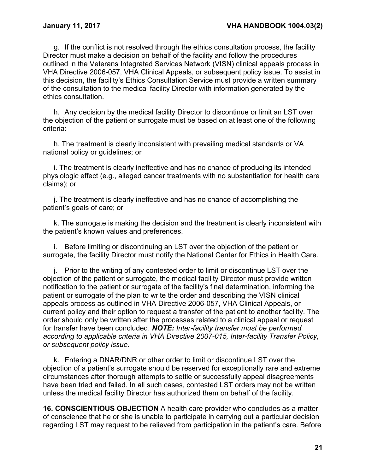g. If the conflict is not resolved through the ethics consultation process, the facility Director must make a decision on behalf of the facility and follow the procedures outlined in the Veterans Integrated Services Network (VISN) clinical appeals process in VHA Directive 2006-057, VHA Clinical Appeals, or subsequent policy issue. To assist in this decision, the facility's Ethics Consultation Service must provide a written summary of the consultation to the medical facility Director with information generated by the ethics consultation.

h. Any decision by the medical facility Director to discontinue or limit an LST over the objection of the patient or surrogate must be based on at least one of the following criteria:

h. The treatment is clearly inconsistent with prevailing medical standards or VA national policy or guidelines; or

i. The treatment is clearly ineffective and has no chance of producing its intended physiologic effect (e.g., alleged cancer treatments with no substantiation for health care claims); or

j. The treatment is clearly ineffective and has no chance of accomplishing the patient's goals of care; or

k. The surrogate is making the decision and the treatment is clearly inconsistent with the patient's known values and preferences.

i. Before limiting or discontinuing an LST over the objection of the patient or surrogate, the facility Director must notify the National Center for Ethics in Health Care.

j. Prior to the writing of any contested order to limit or discontinue LST over the objection of the patient or surrogate, the medical facility Director must provide written notification to the patient or surrogate of the facility's final determination, informing the patient or surrogate of the plan to write the order and describing the VISN clinical appeals process as outlined in VHA Directive 2006-057, VHA Clinical Appeals, or current policy and their option to request a transfer of the patient to another facility. The order should only be written after the processes related to a clinical appeal or request for transfer have been concluded. *NOTE: Inter-facility transfer must be performed according to applicable criteria in VHA Directive 2007-015, Inter-facility Transfer Policy, or subsequent policy issue*.

k. Entering a DNAR/DNR or other order to limit or discontinue LST over the objection of a patient's surrogate should be reserved for exceptionally rare and extreme circumstances after thorough attempts to settle or successfully appeal disagreements have been tried and failed. In all such cases, contested LST orders may not be written unless the medical facility Director has authorized them on behalf of the facility.

<span id="page-23-0"></span>**16. CONSCIENTIOUS OBJECTION** A health care provider who concludes as a matter of conscience that he or she is unable to participate in carrying out a particular decision regarding LST may request to be relieved from participation in the patient's care. Before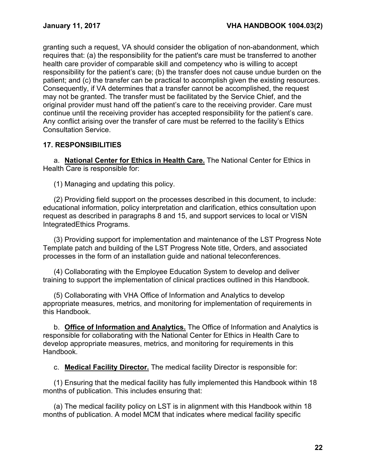granting such a request, VA should consider the obligation of non-abandonment, which requires that: (a) the responsibility for the patient's care must be transferred to another health care provider of comparable skill and competency who is willing to accept responsibility for the patient's care; (b) the transfer does not cause undue burden on the patient; and (c) the transfer can be practical to accomplish given the existing resources. Consequently, if VA determines that a transfer cannot be accomplished, the request may not be granted. The transfer must be facilitated by the Service Chief, and the original provider must hand off the patient's care to the receiving provider. Care must continue until the receiving provider has accepted responsibility for the patient's care. Any conflict arising over the transfer of care must be referred to the facility's Ethics Consultation Service.

# <span id="page-24-0"></span>**17. RESPONSIBILITIES**

a. **National Center for Ethics in Health Care.** The National Center for Ethics in Health Care is responsible for:

(1) Managing and updating this policy.

(2) Providing field support on the processes described in this document, to include: educational information, policy interpretation and clarification, ethics consultation upon request as described in paragraphs 8 and 15, and support services to local or VISN IntegratedEthics Programs.

(3) Providing support for implementation and maintenance of the LST Progress Note Template patch and building of the LST Progress Note title, Orders, and associated processes in the form of an installation guide and national teleconferences.

(4) Collaborating with the Employee Education System to develop and deliver training to support the implementation of clinical practices outlined in this Handbook.

(5) Collaborating with VHA Office of Information and Analytics to develop appropriate measures, metrics, and monitoring for implementation of requirements in this Handbook.

b. **Office of Information and Analytics.** The Office of Information and Analytics is responsible for collaborating with the National Center for Ethics in Health Care to develop appropriate measures, metrics, and monitoring for requirements in this Handbook.

c. **Medical Facility Director.** The medical facility Director is responsible for:

(1) Ensuring that the medical facility has fully implemented this Handbook within 18 months of publication. This includes ensuring that:

(a) The medical facility policy on LST is in alignment with this Handbook within 18 months of publication. A model MCM that indicates where medical facility specific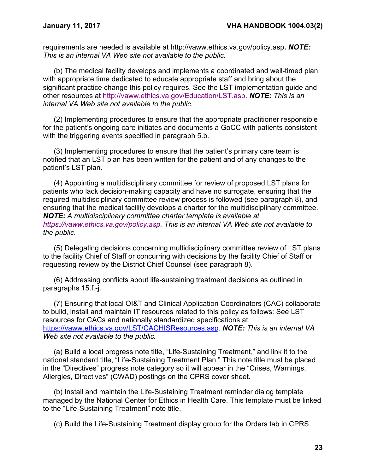requirements are needed is available at <http://vaww.ethics.va.gov/policy.asp>**.** *NOTE: This is an internal VA Web site not available to the public.*

(b) The medical facility develops and implements a coordinated and well-timed plan with appropriate time dedicated to educate appropriate staff and bring about the significant practice change this policy requires. See the LST implementation guide and other resources at [http://vaww.ethics.va.gov/Education/LST.asp.](http://vaww.ethics.va.gov/Education/LST.asp) *NOTE: This is an internal VA Web site not available to the public.*

(2) Implementing procedures to ensure that the appropriate practitioner responsible for the patient's ongoing care initiates and documents a GoCC with patients consistent with the triggering events specified in paragraph 5.b.

(3) Implementing procedures to ensure that the patient's primary care team is notified that an LST plan has been written for the patient and of any changes to the patient's LST plan.

(4) Appointing a multidisciplinary committee for review of proposed LST plans for patients who lack decision-making capacity and have no surrogate, ensuring that the required multidisciplinary committee review process is followed (see paragraph 8), and ensuring that the medical facility develops a charter for the multidisciplinary committee. *NOTE: A multidisciplinary committee charter template is available at [https://vaww.ethics.va.gov/policy.asp.](https://vaww.ethics.va.gov/policy.asp) This is an internal VA Web site not available to the public*.

(5) Delegating decisions concerning multidisciplinary committee review of LST plans to the facility Chief of Staff or concurring with decisions by the facility Chief of Staff or requesting review by the District Chief Counsel (see paragraph 8).

(6) Addressing conflicts about life-sustaining treatment decisions as outlined in paragraphs 15.f.-j.

(7) Ensuring that local OI&T and Clinical Application Coordinators (CAC) collaborate to build, install and maintain IT resources related to this policy as follows: See LST resources for CACs and nationally standardized specifications at [https://vaww.ethics.va.gov/LST/CACHISResources.asp.](https://vaww.ethics.va.gov/LST/CACHISResources.asp) *NOTE: This is an internal VA Web site not available to the public.*

(a) Build a local progress note title, "Life-Sustaining Treatment," and link it to the national standard title, "Life-Sustaining Treatment Plan." This note title must be placed in the "Directives" progress note category so it will appear in the "Crises, Warnings, Allergies, Directives" (CWAD) postings on the CPRS cover sheet.

(b) Install and maintain the Life-Sustaining Treatment reminder dialog template managed by the National Center for Ethics in Health Care. This template must be linked to the "Life-Sustaining Treatment" note title.

(c) Build the Life-Sustaining Treatment display group for the Orders tab in CPRS.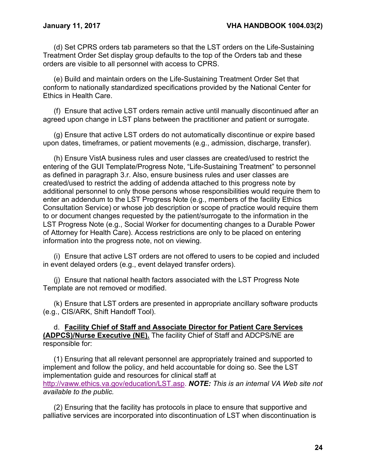(d) Set CPRS orders tab parameters so that the LST orders on the Life-Sustaining Treatment Order Set display group defaults to the top of the Orders tab and these orders are visible to all personnel with access to CPRS.

(e) Build and maintain orders on the Life-Sustaining Treatment Order Set that conform to nationally standardized specifications provided by the National Center for Ethics in Health Care.

(f) Ensure that active LST orders remain active until manually discontinued after an agreed upon change in LST plans between the practitioner and patient or surrogate.

(g) Ensure that active LST orders do not automatically discontinue or expire based upon dates, timeframes, or patient movements (e.g., admission, discharge, transfer).

(h) Ensure VistA business rules and user classes are created/used to restrict the entering of the GUI Template/Progress Note, "Life-Sustaining Treatment" to personnel as defined in paragraph 3.r. Also, ensure business rules and user classes are created/used to restrict the adding of addenda attached to this progress note by additional personnel to only those persons whose responsibilities would require them to enter an addendum to the LST Progress Note (e.g., members of the facility Ethics Consultation Service) or whose job description or scope of practice would require them to or document changes requested by the patient/surrogate to the information in the LST Progress Note (e.g., Social Worker for documenting changes to a Durable Power of Attorney for Health Care). Access restrictions are only to be placed on entering information into the progress note, not on viewing.

(i) Ensure that active LST orders are not offered to users to be copied and included in event delayed orders (e.g., event delayed transfer orders).

(j) Ensure that national health factors associated with the LST Progress Note Template are not removed or modified.

(k) Ensure that LST orders are presented in appropriate ancillary software products (e.g., CIS/ARK, Shift Handoff Tool).

d. **Facility Chief of Staff and Associate Director for Patient Care Services (ADPCS)/Nurse Executive (NE).** The facility Chief of Staff and ADCPS/NE are responsible for:

(1) Ensuring that all relevant personnel are appropriately trained and supported to implement and follow the policy, and held accountable for doing so. See the LST implementation guide and resources for clinical staff at [http://vaww.ethics.va.gov/education/LST.asp.](http://vaww.ethics.va.gov/Education/LST.asp) *NOTE: This is an internal VA Web site not available to the public.*

(2) Ensuring that the facility has protocols in place to ensure that supportive and palliative services are incorporated into discontinuation of LST when discontinuation is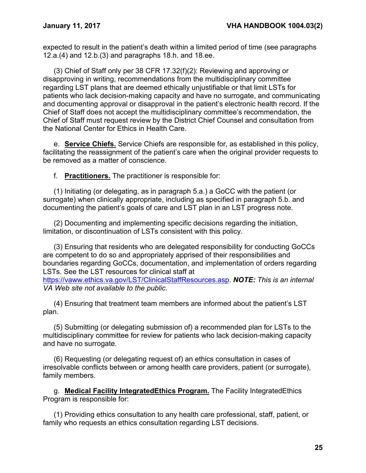expected to result in the patient's death within a limited period of time (see paragraphs 12.a.(4) and 12.b.(3) and paragraphs 18.h. and 18.ee.

(3) Chief of Staff only per 38 CFR 17.32(f)(2): Reviewing and approving or disapproving in writing, recommendations from the multidisciplinary committee regarding LST plans that are deemed ethically unjustifiable or that limit LSTs for patients who lack decision-making capacity and have no surrogate, and communicating and documenting approval or disapproval in the patient's electronic health record. If the Chief of Staff does not accept the multidisciplinary committee's recommendation, the Chief of Staff must request review by the District Chief Counsel and consultation from the National Center for Ethics in Health Care.

e. **Service Chiefs.** Service Chiefs are responsible for, as established in this policy, facilitating the reassignment of the patient's care when the original provider requests to be removed as a matter of conscience.

f. **Practitioners.** The practitioner is responsible for:

(1) Initiating (or delegating, as in paragraph 5.a.) a GoCC with the patient (or surrogate) when clinically appropriate, including as specified in paragraph 5.b. and documenting the patient's goals of care and LST plan in an LST progress note.

(2) Documenting and implementing specific decisions regarding the initiation, limitation, or discontinuation of LSTs consistent with this policy.

(3) Ensuring that residents who are delegated responsibility for conducting GoCCs are competent to do so and appropriately apprised of their responsibilities and boundaries regarding GoCCs, documentation, and implementation of orders regarding LSTs. See the LST resources for clinical staff at [https://vaww.ethics.va.gov/LST/ClinicalStaffResources.asp.](https://vaww.ethics.va.gov/LST/ClinicalStaffResources.asp) *NOTE: This is an internal* 

*VA Web site not available to the public.*

(4) Ensuring that treatment team members are informed about the patient's LST plan.

(5) Submitting (or delegating submission of) a recommended plan for LSTs to the multidisciplinary committee for review for patients who lack decision-making capacity and have no surrogate.

(6) Requesting (or delegating request of) an ethics consultation in cases of irresolvable conflicts between or among health care providers, patient (or surrogate), family members.

g. **Medical Facility IntegratedEthics Program.** The Facility IntegratedEthics Program is responsible for:

(1) Providing ethics consultation to any health care professional, staff, patient, or family who requests an ethics consultation regarding LST decisions.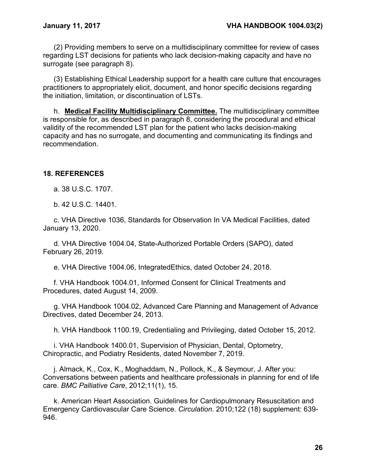(2) Providing members to serve on a multidisciplinary committee for review of cases regarding LST decisions for patients who lack decision-making capacity and have no surrogate (see paragraph 8).

(3) Establishing Ethical Leadership support for a health care culture that encourages practitioners to appropriately elicit, document, and honor specific decisions regarding the initiation, limitation, or discontinuation of LSTs.

h. **Medical Facility Multidisciplinary Committee.** The multidisciplinary committee is responsible for, as described in paragraph 8, considering the procedural and ethical validity of the recommended LST plan for the patient who lacks decision-making capacity and has no surrogate, and documenting and communicating its findings and recommendation.

### <span id="page-28-0"></span>**18. REFERENCES**

a. 38 U.S.C. 1707.

b. 42 U.S.C. 14401.

c. VHA Directive 1036, Standards for Observation In VA Medical Facilities, dated January 13, 2020.

d. VHA Directive 1004.04, State-Authorized Portable Orders (SAPO), dated February 26, 2019.

e. VHA Directive 1004.06, IntegratedEthics, dated October 24, 2018.

f. VHA Handbook 1004.01, Informed Consent for Clinical Treatments and Procedures, dated August 14, 2009.

g. VHA Handbook 1004.02, Advanced Care Planning and Management of Advance Directives, dated December 24, 2013.

h. VHA Handbook 1100.19, Credentialing and Privileging, dated October 15, 2012.

i. VHA Handbook 1400.01, Supervision of Physician, Dental, Optometry, Chiropractic, and Podiatry Residents, dated November 7, 2019.

j. Almack, K., Cox, K., Moghaddam, N., Pollock, K., & Seymour, J. After you: Conversations between patients and healthcare professionals in planning for end of life care. *BMC Palliative Care*, 2012;11(1), 15.

k. American Heart Association. Guidelines for Cardiopulmonary Resuscitation and Emergency Cardiovascular Care Science. *Circulation*. 2010;122 (18) supplement: 639- 946.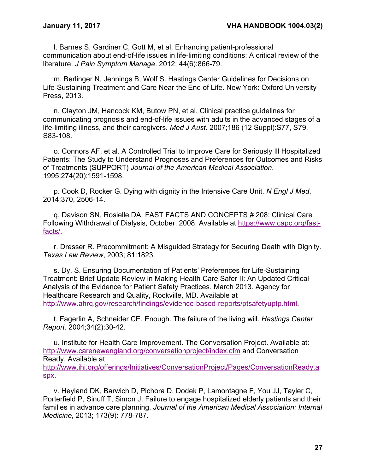l. Barnes S, Gardiner C, Gott M, et al. Enhancing patient-professional communication about end-of-life issues in life-limiting conditions: A critical review of the literature. *J Pain Symptom Manage*. 2012; 44(6):866-79.

m. Berlinger N, Jennings B, Wolf S. Hastings Center Guidelines for Decisions on Life-Sustaining Treatment and Care Near the End of Life. New York: Oxford University Press, 2013.

n. Clayton JM, Hancock KM, Butow PN, et al. Clinical practice guidelines for communicating prognosis and end-of-life issues with adults in the advanced stages of a life-limiting illness, and their caregivers. *Med J Aust*. 2007;186 (12 Suppl):S77, S79, S83-108.

o. Connors AF, et al. A Controlled Trial to Improve Care for Seriously Ill Hospitalized Patients: The Study to Understand Prognoses and Preferences for Outcomes and Risks of Treatments (SUPPORT) *Journal of the American Medical Association*. 1995;274(20):1591-1598.

p. Cook D, Rocker G. Dying with dignity in the Intensive Care Unit. *N Engl J Med*, 2014;370, 2506-14.

q. Davison SN, Rosielle DA. FAST FACTS AND CONCEPTS # 208: Clinical Care Following Withdrawal of Dialysis, October, 2008. Available at [https://www.capc.org/fast](https://www.capc.org/fast-facts/)[facts/.](https://www.capc.org/fast-facts/)

r. Dresser R. Precommitment: A Misguided Strategy for Securing Death with Dignity. *Texas Law Review*, 2003; 81:1823.

s. Dy, S. Ensuring Documentation of Patients' Preferences for Life-Sustaining Treatment: Brief Update Review in Making Health Care Safer II: An Updated Critical Analysis of the Evidence for Patient Safety Practices. March 2013. Agency for Healthcare Research and Quality, Rockville, MD. Available at [http://www.ahrq.gov/research/findings/evidence-based-reports/ptsafetyuptp.html.](http://www.ahrq.gov/research/findings/evidence-based-reports/ptsafetyuptp.html)

t. Fagerlin A, Schneider CE. Enough. The failure of the living will. *Hastings Center Report*. 2004;34(2):30-42.

u. Institute for Health Care Improvement. The Conversation Project. Available at: <http://www.carenewengland.org/conversationproject/index.cfm> and Conversation Ready. Available at [http://www.ihi.org/offerings/Initiatives/ConversationProject/Pages/ConversationReady.a](http://www.ihi.org/offerings/Initiatives/ConversationProject/Pages/ConversationReady.aspx) [spx.](http://www.ihi.org/offerings/Initiatives/ConversationProject/Pages/ConversationReady.aspx)

v. Heyland DK, Barwich D, Pichora D, Dodek P, Lamontagne F, You JJ, Tayler C, Porterfield P, Sinuff T, Simon J. Failure to engage hospitalized elderly patients and their families in advance care planning. *Journal of the American Medical Association: Internal Medicine*, 2013; 173(9): 778-787.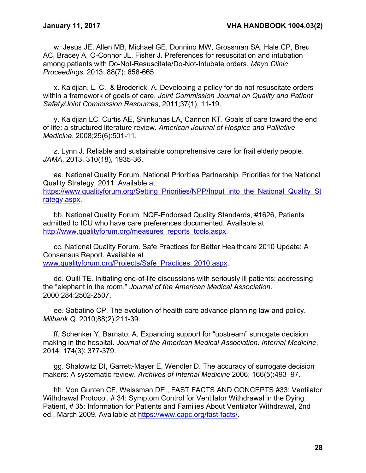w. Jesus JE, Allen MB, Michael GE, Donnino MW, Grossman SA, Hale CP, Breu AC, Bracey A, O-Connor JL, Fisher J. Preferences for resuscitation and intubation among patients with Do-Not-Resuscitate/Do-Not-Intubate orders. *Mayo Clinic Proceedings*, 2013; 88(7): 658-665.

x. Kaldjian, L. C., & Broderick, A. Developing a policy for do not resuscitate orders within a framework of goals of care. *Joint Commission Journal on Quality and Patient Safety/Joint Commission Resources*, 2011;37(1), 11-19.

y. Kaldjian LC, Curtis AE, Shinkunas LA, Cannon KT. Goals of care toward the end of life: a structured literature review. *American Journal of Hospice and Palliative Medicine*. 2008;25(6):501-11.

z. Lynn J. Reliable and sustainable comprehensive care for frail elderly people. *JAMA*, 2013, 310(18), 1935-36.

aa. National Quality Forum, National Priorities Partnership. Priorities for the National Quality Strategy. 2011. Available at [https://www.qualityforum.org/Setting\\_Priorities/NPP/Input\\_into\\_the\\_National\\_Quality\\_St](https://www.qualityforum.org/Setting_Priorities/NPP/Input_into_the_National_Quality_Strategy.aspx) [rategy.aspx.](https://www.qualityforum.org/Setting_Priorities/NPP/Input_into_the_National_Quality_Strategy.aspx)

bb. National Quality Forum. NQF-Endorsed Quality Standards, #1626, Patients admitted to ICU who have care preferences documented. Available at [http://www.qualityforum.org/measures\\_reports\\_tools.aspx.](http://www.qualityforum.org/measures_reports_tools.aspx)

cc. National Quality Forum. Safe Practices for Better Healthcare 2010 Update: A Consensus Report. Available at [www.qualityforum.org/Projects/Safe\\_Practices\\_2010.aspx.](http://www.qualityforum.org/Projects/Safe_Practices_2010.aspx)

dd. Quill TE. Initiating end-of-life discussions with seriously ill patients: addressing the "elephant in the room." *Journal of the American Medical Association*. 2000;284:2502-2507.

ee. Sabatino CP. The evolution of health care advance planning law and policy. *Milbank Q*. 2010;88(2):211-39.

ff. Schenker Y, Barnato, A. Expanding support for "upstream" surrogate decision making in the hospital. *Journal of the American Medical Association: Internal Medicine*, 2014; 174(3): 377-379.

gg. Shalowitz DI, Garrett-Mayer E, Wendler D. The accuracy of surrogate decision makers: A systematic review. *Archives of Internal Medicine* 2006; 166(5):493–97.

hh. Von Gunten CF, Weissman DE., FAST FACTS AND CONCEPTS #33: Ventilator Withdrawal Protocol, # 34: Symptom Control for Ventilator Withdrawal in the Dying Patient, # 35: Information for Patients and Families About Ventilator Withdrawal, 2nd ed., March 2009. Available at [https://www.capc.org/fast-facts/.](https://www.capc.org/fast-facts/)